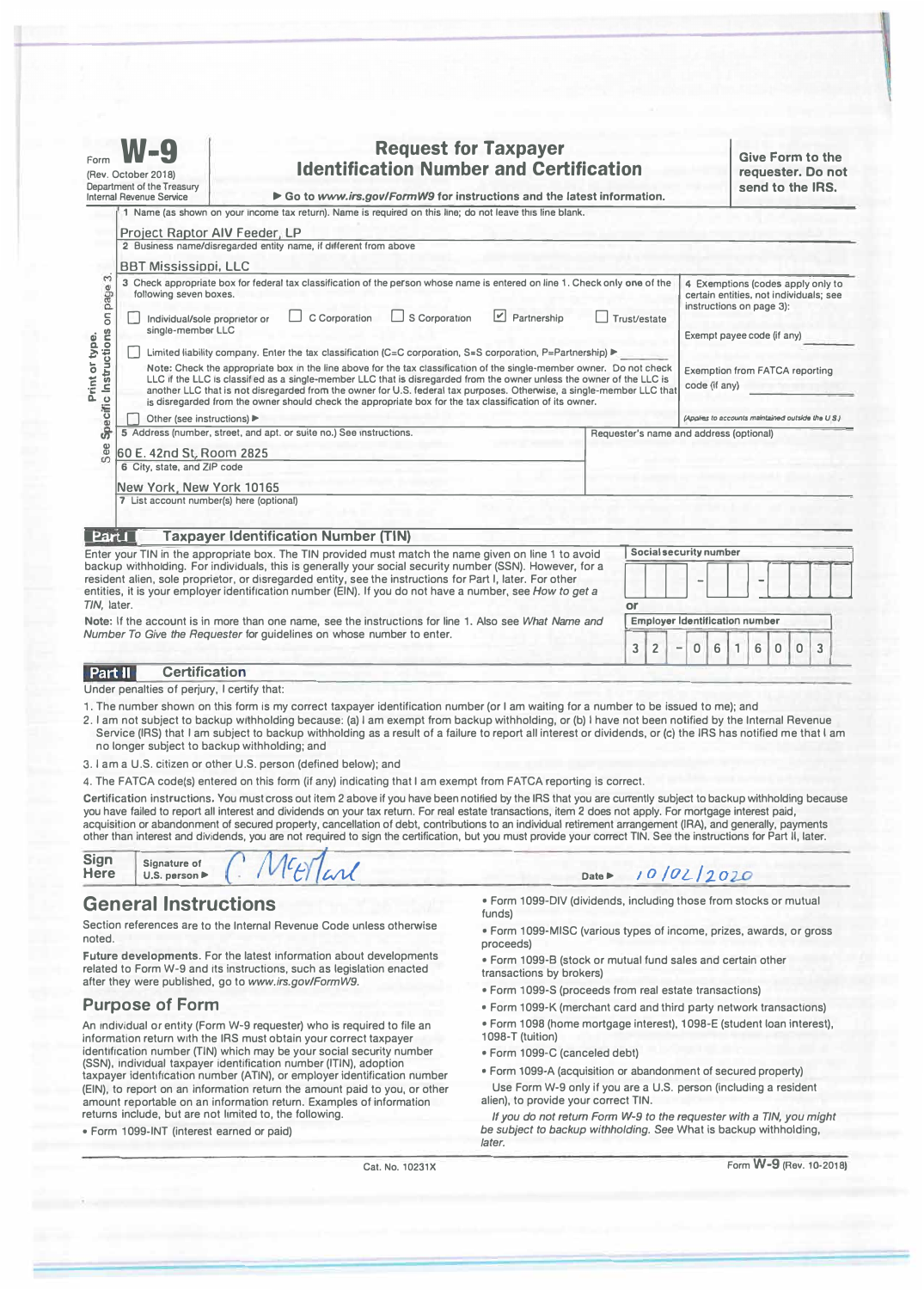| 1 Name (as shown on your income tax return). Name is required on this line; do not leave this line blank.<br><b>Project Raptor AIV Feeder, LP</b><br>2 Business name/disregarded entity name, if different from above<br><b>BBT Mississippi, LLC</b>                                                                                                                                                                                                                                                                                                                                                                                                                     | Partnership |                                         |                                                                                                            |                                   |   |   |
|--------------------------------------------------------------------------------------------------------------------------------------------------------------------------------------------------------------------------------------------------------------------------------------------------------------------------------------------------------------------------------------------------------------------------------------------------------------------------------------------------------------------------------------------------------------------------------------------------------------------------------------------------------------------------|-------------|-----------------------------------------|------------------------------------------------------------------------------------------------------------|-----------------------------------|---|---|
|                                                                                                                                                                                                                                                                                                                                                                                                                                                                                                                                                                                                                                                                          |             |                                         |                                                                                                            |                                   |   |   |
|                                                                                                                                                                                                                                                                                                                                                                                                                                                                                                                                                                                                                                                                          |             |                                         |                                                                                                            |                                   |   |   |
|                                                                                                                                                                                                                                                                                                                                                                                                                                                                                                                                                                                                                                                                          |             |                                         |                                                                                                            |                                   |   |   |
| on page 3.<br>3 Check appropriate box for federal tax classification of the person whose name is entered on line 1. Check only one of the<br>following seven boxes.<br>S Corporation<br>$ \mathcal{V} $<br>C Corporation<br>Individual/sole proprietor or<br>single-member LLC                                                                                                                                                                                                                                                                                                                                                                                           |             | Trust/estate                            | certain entities, not individuals; see<br>instructions on page 3):<br>Exempt payee code (if any)           | 4 Exemptions (codes apply only to |   |   |
| Specific Instructions<br>Print or type.<br>Limited liability company. Enter the tax classification (C=C corporation, S=S corporation, P=Partnership)<br>Note: Check the appropriate box in the line above for the tax classification of the single-member owner. Do not check<br>LLC if the LLC is classified as a single-member LLC that is disregarded from the owner unless the owner of the LLC is<br>another LLC that is not disregarded from the owner for U.S. federal tax purposes. Otherwise, a single-member LLC that<br>is disregarded from the owner should check the appropriate box for the tax classification of its owner.<br>Other (see instructions) ▶ |             |                                         | <b>Exemption from FATCA reporting</b><br>code (if any)<br>(Applies to accounts maintained outside the U.S. |                                   |   |   |
| 5 Address (number, street, and apt. or suite no.) See instructions.                                                                                                                                                                                                                                                                                                                                                                                                                                                                                                                                                                                                      |             | Requester's name and address (optional) |                                                                                                            |                                   |   |   |
| See<br>60 E. 42nd St. Room 2825                                                                                                                                                                                                                                                                                                                                                                                                                                                                                                                                                                                                                                          |             |                                         |                                                                                                            |                                   |   |   |
| 6 City, state, and ZIP code                                                                                                                                                                                                                                                                                                                                                                                                                                                                                                                                                                                                                                              |             |                                         |                                                                                                            |                                   |   |   |
| New York, New York 10165                                                                                                                                                                                                                                                                                                                                                                                                                                                                                                                                                                                                                                                 |             |                                         |                                                                                                            |                                   |   |   |
| 7 List account number(s) here (optional)                                                                                                                                                                                                                                                                                                                                                                                                                                                                                                                                                                                                                                 |             |                                         |                                                                                                            |                                   |   |   |
| <b>Taxpayer Identification Number (TIN)</b><br>Part1                                                                                                                                                                                                                                                                                                                                                                                                                                                                                                                                                                                                                     |             |                                         |                                                                                                            |                                   |   |   |
| Enter your TIN in the appropriate box. The TIN provided must match the name given on line 1 to avoid                                                                                                                                                                                                                                                                                                                                                                                                                                                                                                                                                                     |             | Social security number                  |                                                                                                            |                                   |   |   |
| backup withholding. For individuals, this is generally your social security number (SSN). However, for a<br>resident alien, sole proprietor, or disregarded entity, see the instructions for Part I, later. For other<br>entities, it is your employer identification number (EIN). If you do not have a number, see How to get a<br>TIN, later.                                                                                                                                                                                                                                                                                                                         |             | or                                      |                                                                                                            |                                   |   |   |
| Note: If the account is in more than one name, see the instructions for line 1. Also see What Name and                                                                                                                                                                                                                                                                                                                                                                                                                                                                                                                                                                   |             | <b>Employer Identification number</b>   |                                                                                                            |                                   |   |   |
| Number To Give the Requester for guidelines on whose number to enter.                                                                                                                                                                                                                                                                                                                                                                                                                                                                                                                                                                                                    |             | 3<br>$\overline{2}$                     | 0<br>6                                                                                                     | 6<br>0                            | 0 | 3 |

#### **Certification**  Part II

Under penalties of perjury, I certify that:

- 1. The number shown on this form is my correct taxpayer identification number (or I am waiting for a number to be issued to me); and
- 2. I am not subject to backup withholding because: (a) I am exempt from backup withholding, or (b) I have not been notified by the Internal Revenue Service (IRS) that I am subject to backup withholding as a result of a failure to report all interest or dividends, or **(c)** the IRS has notified me that I am no longer subject to backup withholding; and
- 3. I am a U.S. citizen or other U.S. person (defined below); and

4. The FATCA code(s) entered on this form (if any) indicating that I am exempt from FATCA reporting is correct.

Certification instructions. You must cross out item 2 above if you have been notified by the IRS that you are currently subject to backup withholding because you have failed to report all interest and dividends on your tax return. For real estate transactions, item **2** does not apply. For mortgage interest paid, acquisition or abandonment of secured property, cancellation of debt, contributions to an individual retirement arrangement (IRA), and generally, payments other than interest and dividends, you are not required to sign the certification, but you must provide your correct TIN. See the instructions for Part II, later.

| <b>Sign</b><br>Here | Signature of<br>U.S. person $\blacktriangleright$ |  | VErland |  |
|---------------------|---------------------------------------------------|--|---------|--|
|---------------------|---------------------------------------------------|--|---------|--|

## **General Instructions**

Section references are to the Internal Revenue Code unless otherwise noted.

**Future developments.** For the latest information about developments related to Form W-9 and its instructions, such as legislation enacted after they were published, go to *www.irs.gov/FormW9.* 

# **Purpose of Form**

An individual or entity (Form W-9 requester) who is required to file an information return with the IRS must obtain your correct taxpayer identification number (TIN) which may be your social security number (SSN), individual taxpayer identification number (ITIN), adoption taxpayer identification number (ATIN), or employer identification number (EIN), to report on an information return the amount paid to you, or other amount reportable on an information return. Examples of information returns include, but are not limited to, the following.

• Form 1099-INT (interest earned or paid)

• Form 1099-DIV (dividends, including those from stocks or mutual funds)

10/02/2020

- Form 1099-MISC (various types of income, prizes, awards, or gross proceeds)
- Form 1099-B (stock or mutual fund sales and certain other transactions by brokers)
- Form 1099-S (proceeds from real estate transactions)

**Date►** 

- 
- Form 1099-K (merchant card and third party network transactions)
- Form 1098 (home mortgage interest), 1098-E (student loan interest), 1098-T (tuition)
- Form 1099-C (canceled debt)
- Form 1099-A (acquisition or abandonment of secured property) Use Form W-9 only if you are a U.S. person (including a resident alien), to provide your correct TIN.

*If you do not return Form W-9 to the requester with a TIN, you might be subject to backup withholding. See* What is backup withholding, *later.* 

Cat. No. 10231X

Form **W-9** (Rev. 10-2018)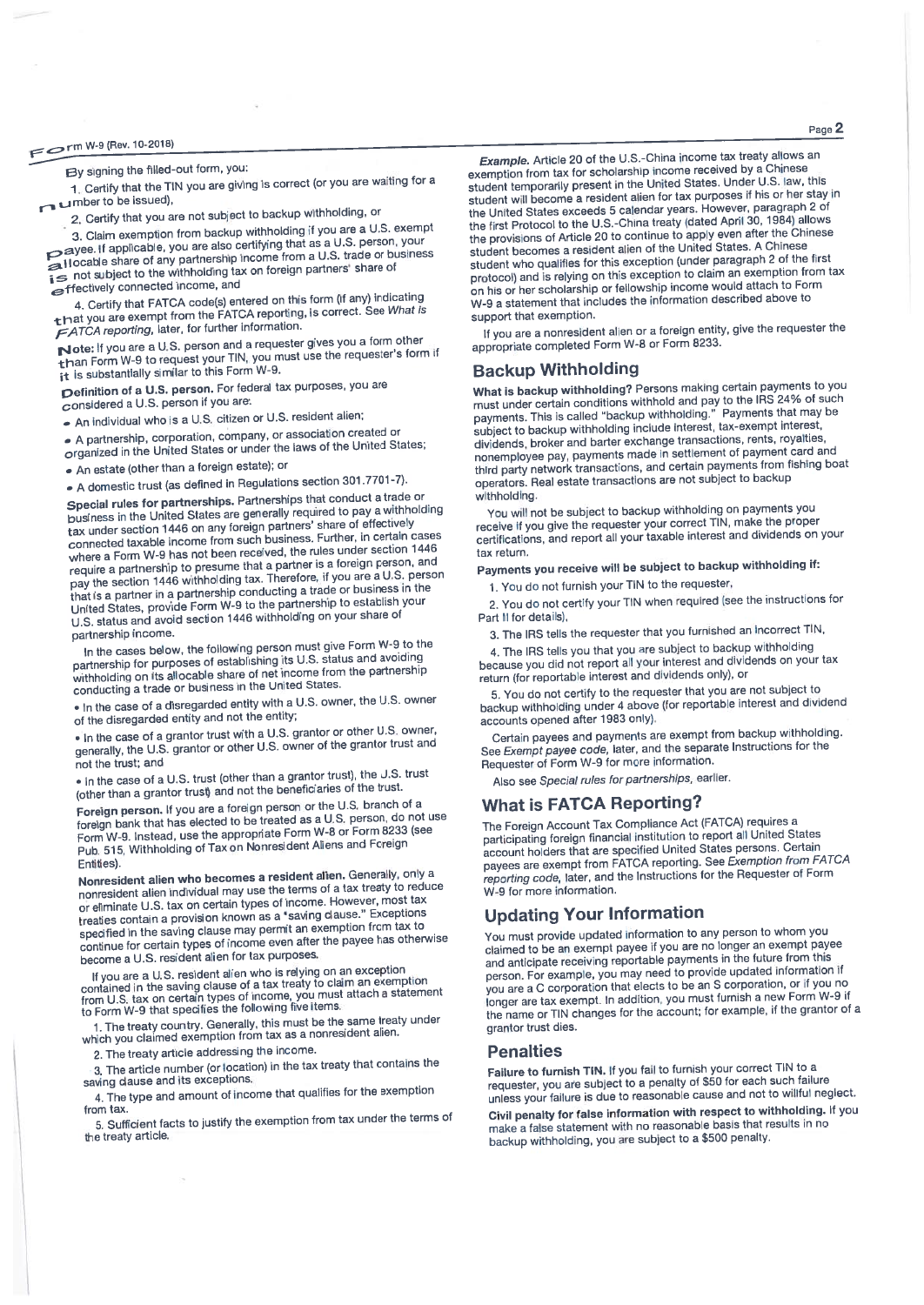By signing the filled-out form, you:

1. Certify that the TIN you are giving is correct (or you are waiting for a umber to be issued),

2. Certify that you are not subject to backup withholding, or

3. Claim exemption from backup withholding if you are a U.S. exempt Sayes. If applicable, you are also certifying that as a U.S. person, your Allocable share of any partnership income from a U.S. trade or business is not subject to the withholding tax on foreign partners' share of effectively connected income, and

4. Certify that FATCA code(s) entered on this form (if any) indicating that you are exempt from the FATCA reporting, is correct. See What is FATCA reporting, later, for further information.

Note: If you are a U.S. person and a requester gives you a form other than Form W-9 to request your TIN, you must use the requester's form if it is substantially similar to this Form W-9.

Definition of a U.S. person. For federal tax purposes, you are considered a U.S. person if you are:

An individual who is a U.S. citizen or U.S. resident alien;

A partnership, corporation, company, or association created or organized in the United States or under the laws of the United States;

. An estate (other than a foreign estate); or

A domestic trust (as defined in Regulations section 301.7701-7).

Special rules for partnerships. Partnerships that conduct a trade or business in the United States are generally required to pay a withholding tax under section 1446 on any foreign partners' share of effectively connected taxable income from such business. Further, in certain cases where a Form W-9 has not been received, the rules under section 1446 require a partnership to presume that a partner is a foreign person, and pay the section 1446 withholding tax. Therefore, if you are a U.S. person that is a partner in a partnership conducting a trade or business in the United States, provide Form W-9 to the partnership to establish your U.S. status and avoid section 1446 withholding on your share of partnership income.

In the cases below, the following person must give Form W-9 to the partnership for purposes of establishing its U.S. status and avoiding withholding on its allocable share of net income from the partnership conducting a trade or business in the United States.

. In the case of a disregarded entity with a U.S. owner, the U.S. owner of the disregarded entity and not the entity;

. In the case of a grantor trust with a U.S. grantor or other U.S. owner, generally, the U.S. grantor or other U.S. owner of the grantor trust and not the trust: and

. In the case of a U.S. trust (other than a grantor trust), the U.S. trust (other than a grantor trust) and not the beneficiaries of the trust.

Foreign person. If you are a foreign person or the U.S. branch of a foreign bank that has elected to be treated as a U.S. person, do not use Form W-9. Instead, use the appropriate Form W-8 or Form 8233 (see Pub. 515, Withholding of Tax on Nonresident Aliens and Foreign Entities).

Nonresident alien who becomes a resident alien. Generally, only a nonresident alien individual may use the terms of a tax treaty to reduce or eliminate U.S. tax on certain types of income. However, most tax treaties contain a provision known as a "saving clause." Exceptions specified in the saving clause may permit an exemption from tax to continue for certain types of income even after the payee has otherwise become a U.S. resident alien for tax purposes,

If you are a U.S. resident alien who is relying on an exception<br>contained in the saving clause of a tax treaty to claim an exemption<br>from U.S. tax on certain types of income, you must attach a statement<br>to Form W-9 that sp

1. The treaty country. Generally, this must be the same treaty under<br>which you claimed exemption from tax as a nonresident alien.

2. The treaty article addressing the income.

3. The article number (or location) in the tax treaty that contains the saving clause and its exceptions.

4. The type and amount of income that qualifies for the exemption from tax.

5. Sufficient facts to justify the exemption from tax under the terms of the treaty article,

Example. Article 20 of the U.S.-China income tax treaty allows an exemption from tax for scholarship income received by a Chinese student temporarily present in the United States. Under U.S. law, this student will become a resident alien for tax purposes if his or her stay in the United States exceeds 5 calendar years. However, paragraph 2 of the first Protocol to the U.S.-China treaty (dated April 30, 1984) allows the provisions of Article 20 to continue to apply even after the Chinese student becomes a resident alien of the United States. A Chinese student who qualifies for this exception (under paragraph 2 of the first protocol) and is relying on this exception to claim an exemption from tax on his or her scholarship or fellowship income would attach to Form W-9 a statement that includes the information described above to support that exemption.

If you are a nonresident alien or a foreign entity, give the requester the appropriate completed Form W-8 or Form 8233.

### **Backup Withholding**

What is backup withholding? Persons making certain payments to you must under certain conditions withhold and pay to the IRS 24% of such payments. This is called "backup withholding." Payments that may be subject to backup withholding include interest, tax-exempt interest, dividends, broker and barter exchange transactions, rents, royalties, nonemployee pay, payments made in settlement of payment card and third party network transactions, and certain payments from fishing boat operators. Real estate transactions are not subject to backup withholding

You will not be subject to backup withholding on payments you receive if you give the requester your correct TIN, make the proper certifications, and report all your taxable interest and dividends on your tax return.

Payments you receive will be subject to backup withholding if:

1. You do not furnish your TIN to the requester,

2. You do not certify your TIN when required (see the instructions for Part II for details),

3. The IRS tells the requester that you furnished an incorrect TIN,

4. The IRS tells you that you are subject to backup withholding because you did not report all your interest and dividends on your tax return (for reportable interest and dividends only), or

5. You do not certify to the requester that you are not subject to backup withholding under 4 above (for reportable interest and dividend accounts opened after 1983 only).

Certain payees and payments are exempt from backup withholding. See Exempt payee code, later, and the separate Instructions for the<br>Requester of Form W-9 for more information.

Also see Special rules for partnerships, earlier.

### **What is FATCA Reporting?**

The Foreign Account Tax Compliance Act (FATCA) requires a participating foreign financial institution to report all United States account holders that are specified United States persons. Certain payees are exempt from FATCA reporting. See Exemption from FATCA reporting code, later, and the Instructions for the Requester of Form W-9 for more information.

# **Updating Your Information**

You must provide updated information to any person to whom you claimed to be an exempt payee if you are no longer an exempt payee and anticipate receiving reportable payments in the future from this person. For example, you may need to provide updated information if you are a C corporation that elects to be an S corporation, or if you no longer are tax exempt. In addition, you must furnish a new Form W-9 if the name or TIN changes for the account; for example, if the grantor of a grantor trust dies.

#### **Penalties**

Failure to furnish TIN. If you fail to furnish your correct TIN to a requester, you are subject to a penalty of \$50 for each such failure unless your failure is due to reasonable cause and not to willful neglect.

Civil penalty for false information with respect to withholding. If you make a false statement with no reasonable basis that results in no backup withholding, you are subject to a \$500 penalty.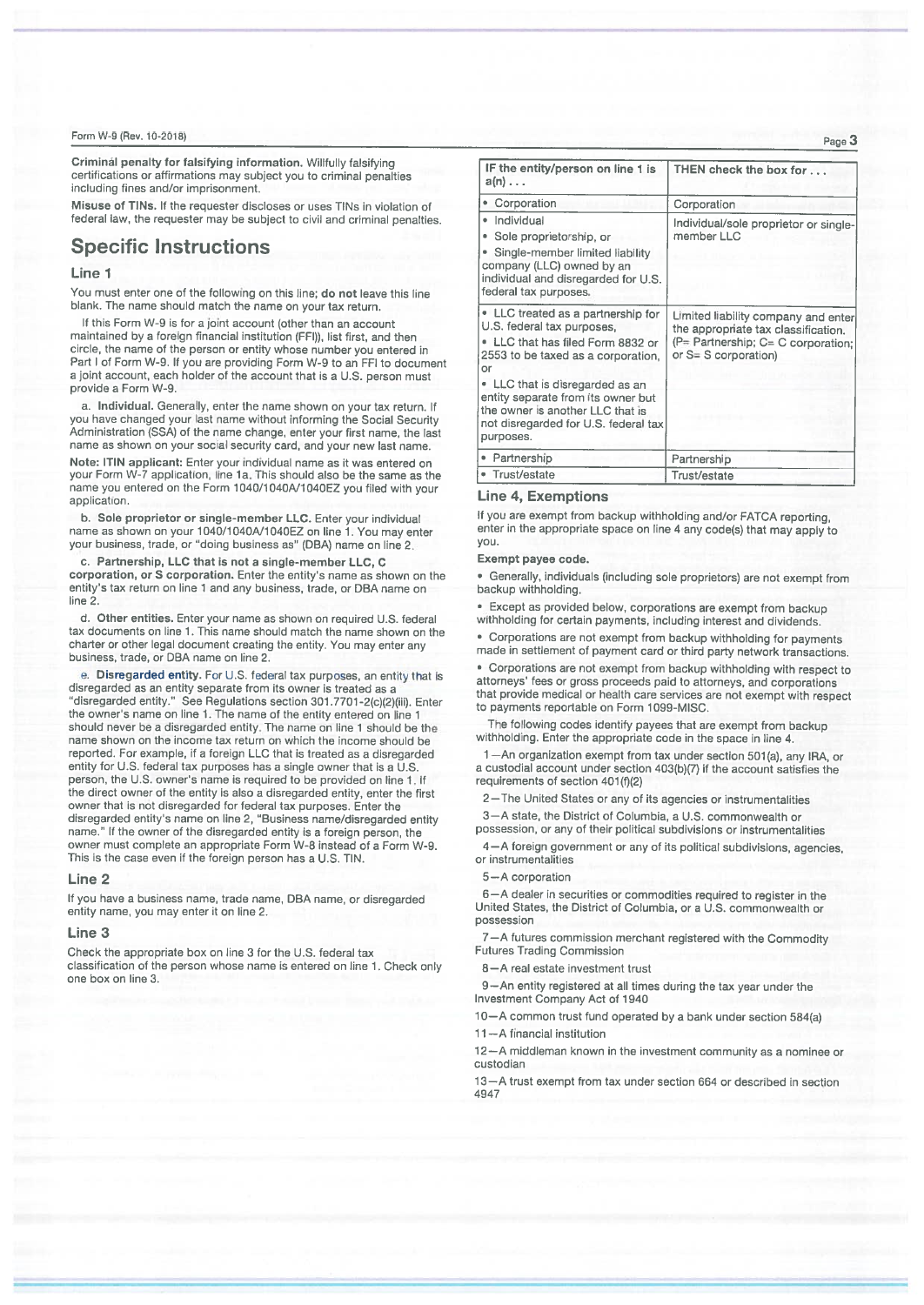Criminál penalty for falsifying information. Willfully falsifying certifications or affirmations may subject you to criminal penalties including fines and/or imprisonment.

Misuse of TINs. If the requester discloses or uses TINs in violation of federal law, the requester may be subject to civil and criminal penalties.

# **Specific Instructions**

### Line<sub>1</sub>

You must enter one of the following on this line; do not leave this line blank. The name should match the name on your tax return.

If this Form W-9 is for a joint account (other than an account maintained by a foreign financial institution (FFI)), list first, and then circle, the name of the person or entity whose number you entered in Part I of Form W-9. If you are providing Form W-9 to an FFI to document a joint account, each holder of the account that is a U.S. person must provide a Form W-9.

a. Individual. Generally, enter the name shown on your tax return. If you have changed your last name without informing the Social Security Administration (SSA) of the name change, enter your first name, the last name as shown on your social security card, and your new last name.

Note: ITIN applicant: Enter your individual name as it was entered on your Form W-7 application, line 1a. This should also be the same as the name you entered on the Form 1040/1040A/1040EZ you filed with your application.

b. Sole proprietor or single-member LLC. Enter your individual name as shown on your 1040/1040A/1040EZ on line 1. You may enter your business, trade, or "doing business as" (DBA) name on line 2.

c. Partnership, LLC that is not a single-member LLC, C corporation, or S corporation. Enter the entity's name as shown on the entity's tax return on line 1 and any business, trade, or DBA name on line 2.

d. Other entities. Enter your name as shown on required U.S. federal tax documents on line 1. This name should match the name shown on the charter or other legal document creating the entity. You may enter any business, trade, or DBA name on line 2.

e. Disregarded entity. For U.S. federal tax purposes, an entity that is disregarded as an entity separate from its owner is treated as a "disregarded entity." See Regulations section 301.7701-2(c)(2)(iii). Enter the owner's name on line 1. The name of the entity entered on line 1 should never be a disregarded entity. The name on line 1 should be the name shown on the income tax return on which the income should be reported. For example, if a foreign LLC that is treated as a disregarded entity for U.S. federal tax purposes has a single owner that is a U.S. person, the U.S. owner's name is required to be provided on line 1. If the direct owner of the entity is also a disregarded entity, enter the first owner that is not disregarded for federal tax purposes. Enter the disregarded entity's name on line 2, "Business name/disregarded entity name." If the owner of the disregarded entity is a foreign person, the owner must complete an appropriate Form W-8 instead of a Form W-9. This is the case even if the foreign person has a U.S. TIN.

#### Line 2

If you have a business name, trade name, DBA name, or disregarded entity name, you may enter it on line 2.

#### Line 3

Check the appropriate box on line 3 for the U.S. federal tax classification of the person whose name is entered on line 1. Check only one box on line 3.

| IF the entity/person on line 1 is<br>$a(n) \ldots$                                                                                                                                                                                                             | THEN check the box for                                                                                                                            |
|----------------------------------------------------------------------------------------------------------------------------------------------------------------------------------------------------------------------------------------------------------------|---------------------------------------------------------------------------------------------------------------------------------------------------|
| Corporation                                                                                                                                                                                                                                                    | Corporation                                                                                                                                       |
| • Individual<br>Sole proprietorship, or<br>Single-member limited liability<br>company (LLC) owned by an<br>individual and disregarded for U.S.<br>federal tax purposes.                                                                                        | Individual/sole proprietor or single-<br>member LLC                                                                                               |
| • LLC treated as a partnership for<br>U.S. federal tax purposes,<br>• LLC that has filed Form 8832 or<br>2553 to be taxed as a corporation,<br>or<br>• LLC that is disregarded as an<br>entity separate from its owner but<br>the owner is another LLC that is | Limited liability company and enter<br>the appropriate tax classification.<br>$(P =$ Partnership; $C = C$ corporation:<br>or $S = S$ corporation) |
| not disregarded for U.S. federal tax<br>purposes.                                                                                                                                                                                                              |                                                                                                                                                   |
| • Partnership                                                                                                                                                                                                                                                  | Partnership                                                                                                                                       |
| • Trust/estate                                                                                                                                                                                                                                                 | Trust/estate                                                                                                                                      |

### **Line 4. Exemptions**

If you are exempt from backup withholding and/or FATCA reporting, enter in the appropriate space on line 4 any code(s) that may apply to vou.

#### Exempt payee code.

· Generally, individuals (including sole proprietors) are not exempt from backup withholding

**Except as provided below, corporations are exempt from backup** withholding for certain payments, including interest and dividends.

• Corporations are not exempt from backup withholding for payments made in settlement of payment card or third party network transactions.

• Corporations are not exempt from backup withholding with respect to attorneys' fees or gross proceeds paid to attorneys, and corporations that provide medical or health care services are not exempt with respect to payments reportable on Form 1099-MISC.

The following codes identify payees that are exempt from backup withholding. Enter the appropriate code in the space in line 4.

1-An organization exempt from tax under section 501(a), any IRA, or a custodial account under section 403(b)(7) if the account satisfies the requirements of section 401(f)(2)

2-The United States or any of its agencies or instrumentalities 3-A state, the District of Columbia, a U.S. commonwealth or

possession, or any of their political subdivisions or instrumentalities

4-A foreign government or any of its political subdivisions, agencies, or instrumentalities

#### 5-A corporation

6-A dealer in securities or commodities required to register in the United States, the District of Columbia, or a U.S. commonwealth or possession

7-A futures commission merchant registered with the Commodity **Futures Trading Commission** 

8-A real estate investment trust

9-An entity registered at all times during the tax year under the Investment Company Act of 1940

-A common trust fund operated by a bank under section 584(a) 11-A financial institution

12-A middleman known in the investment community as a nominee or custodian

13-A trust exempt from tax under section 664 or described in section 4947

Page 3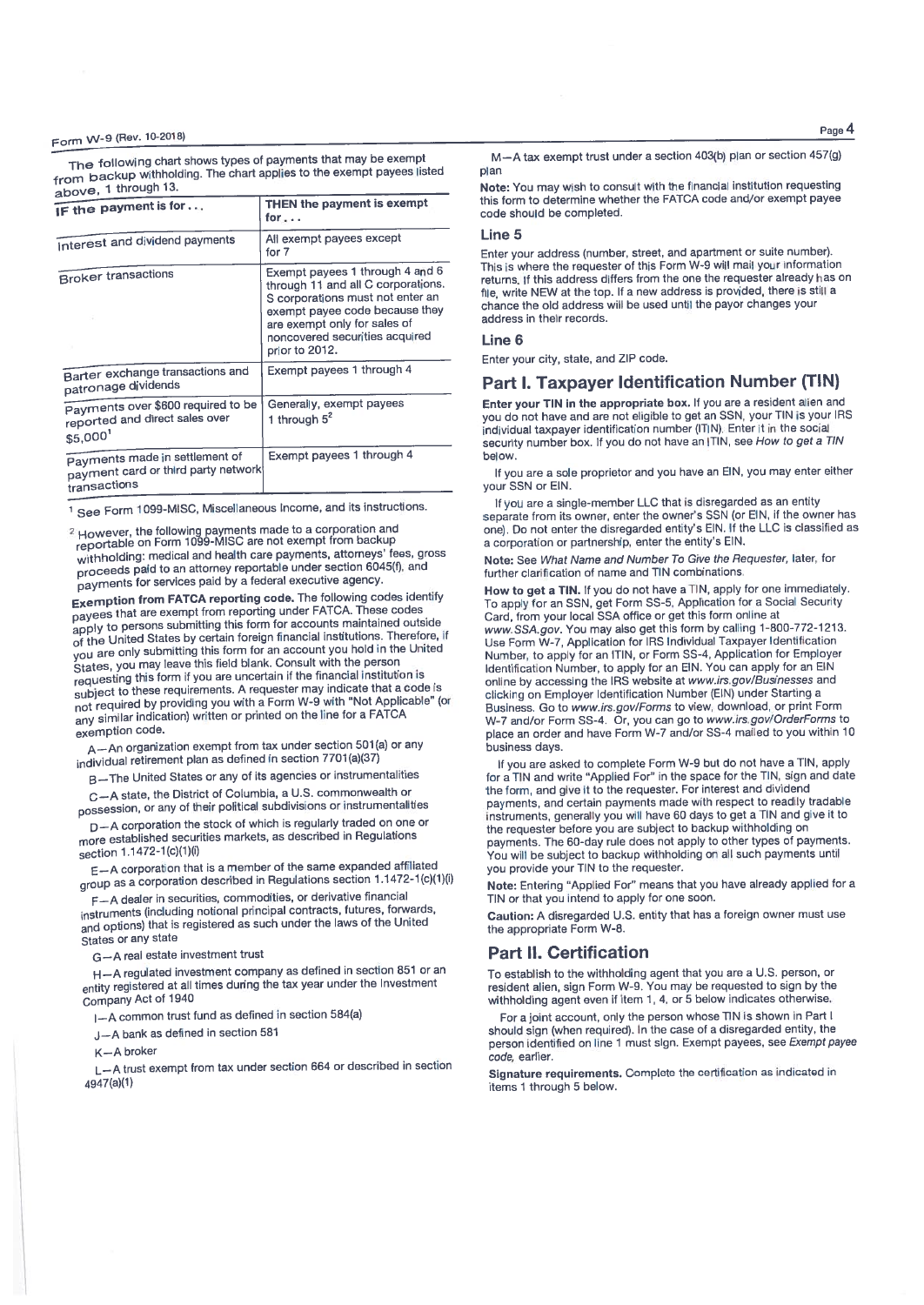The following chart shows types of payments that may be exempt from backup withholding. The chart applies to the exempt payees listed 1 through 13.

| above, I ullough to:                                                                  |                                                                                                                                                                                                                                 |  |  |
|---------------------------------------------------------------------------------------|---------------------------------------------------------------------------------------------------------------------------------------------------------------------------------------------------------------------------------|--|--|
| IF the payment is for                                                                 | THEN the payment is exempt<br>for….                                                                                                                                                                                             |  |  |
| Interest and dividend payments                                                        | All exempt payees except<br>for 7                                                                                                                                                                                               |  |  |
| <b>Broker transactions</b>                                                            | Exempt payees 1 through 4 and 6<br>through 11 and all C corporations.<br>S corporations must not enter an<br>exempt payee code because they<br>are exempt only for sales of<br>noncovered securities acquired<br>prior to 2012. |  |  |
| Barter exchange transactions and<br>patronage dividends                               | Exempt payees 1 through 4                                                                                                                                                                                                       |  |  |
| Payments over \$600 required to be<br>reported and direct sales over<br>\$5,000       | Generally, exempt payees<br>1 through $5^2$                                                                                                                                                                                     |  |  |
| Payments made in settlement of<br>payment card or third party network<br>transactions | Exempt payees 1 through 4                                                                                                                                                                                                       |  |  |

<sup>1</sup> See Form 1099-MISC, Miscellaneous Income, and its instructions.

<sup>2</sup> However, the following payments made to a corporation and<br>reportable on Form 1099-MISC are not exempt from backup withholding: medical and health care payments, attorneys' fees, gross proceeds paid to an attorney reportable under section 6045(f), and payments for services paid by a federal executive agency

Exemption from FATCA reporting code. The following codes identify payees that are exempt from reporting under FATCA. These codes apply to persons submitting this form for accounts maintained outside of the United States by certain foreign financial institutions. Therefore, if you are only submitting this form for an account you hold in the United States, you may leave this field blank. Consult with the person requesting this form if you are uncertain if the financial institution is subject to these requirements. A requester may indicate that a code is not required by providing you with a Form W-9 with "Not Applicable" (or any similar indication) written or printed on the line for a FATCA exemption code.

A-An organization exempt from tax under section 501(a) or any individual retirement plan as defined in section 7701(a)(37)

B-The United States or any of its agencies or instrumentalities

C-A state, the District of Columbia, a U.S. commonwealth or possession, or any of their political subdivisions or instrumentalities

D-A corporation the stock of which is regularly traded on one or more established securities markets, as described in Regulations section 1.1472-1(c)(1)(i)

E-A corporation that is a member of the same expanded affiliated group as a corporation described in Regulations section 1.1472-1(c)(1)(i)

F-A dealer in securities, commodities, or derivative financial instruments (including notional principal contracts, futures, forwards, and options) that is registered as such under the laws of the United States or any state

G-A real estate investment trust

H-A regulated investment company as defined in section 851 or an entity registered at all times during the tax year under the Investment Company Act of 1940

I-A common trust fund as defined in section 584(a)

J-A bank as defined in section 581

 $K - A$  broker

L-A trust exempt from tax under section 664 or described in section 4947(a)(1)

Page 4

M-A tax exempt trust under a section 403(b) plan or section 457(g) plan

Note: You may wish to consult with the financial institution requesting this form to determine whether the FATCA code and/or exempt payee code should be completed.

Enter your address (number, street, and apartment or suite number). This is where the requester of this Form W-9 will mail your information returns. If this address differs from the one the requester already has on file, write NEW at the top. If a new address is provided, there is still a chance the old address will be used until the payor changes your address in their records.

#### $line 6$

Enter your city, state, and ZIP code.

### Part I. Taxpayer Identification Number (TIN)

Enter your TIN in the appropriate box. If you are a resident alien and you do not have and are not eligible to get an SSN, your TIN is your IRS individual taxpayer identification number (ITIN). Enter it in the social security number box. If you do not have an ITIN, see How to get a TIN helow

If you are a sole proprietor and you have an EIN, you may enter either vour SSN or EIN.

If you are a single-member LLC that is disregarded as an entity separate from its owner, enter the owner's SSN (or EIN, if the owner has one). Do not enter the disregarded entity's EIN. If the LLC is classified as a corporation or partnership, enter the entity's EIN.

Note: See What Name and Number To Give the Requester, later, for further clarification of name and TIN combinations.

How to get a TIN. If you do not have a TIN, apply for one immediately. To apply for an SSN, get Form SS-5, Application for a Social Security Card, from your local SSA office or get this form online at www.SSA.gov. You may also get this form by calling 1-800-772-1213.<br>Use Form W-7, Application for IRS Individual Taxpayer Identification Number, to apply for an ITIN, or Form SS-4, Application for Employer<br>Identification Number, to apply for an EIN. You can apply for an EIN online by accessing the IRS website at www.irs.gov/Businesses and clicking on Employer Identification Number (EIN) under Starting a Business. Go to www.irs.gov/Forms to view, download, or print Form W-7 and/or Form SS-4. Or, you can go to www.irs.gov/OrderForms to place an order and have Form W-7 and/or SS-4 mailed to you within 10 business days

If you are asked to complete Form W-9 but do not have a TIN, apply for a TIN and write "Applied For" in the space for the TIN, sign and date the form, and give it to the requester. For interest and dividend payments, and certain payments made with respect to readily tradable instruments, generally you will have 60 days to get a TIN and give it to the requester before you are subject to backup withholding on payments. The 60-day rule does not apply to other types of payments. You will be subject to backup withholding on all such payments until you provide your TIN to the requester.

Note: Entering "Applied For" means that you have already applied for a TIN or that you intend to apply for one soon.

Caution: A disregarded U.S. entity that has a foreign owner must use the appropriate Form W-8

### **Part II. Certification**

To establish to the withholding agent that you are a U.S. person, or resident alien, sign Form W-9. You may be requested to sign by the withholding agent even if item 1, 4, or 5 below indicates otherwise.

For a joint account, only the person whose TIN is shown in Part I should sign (when required). In the case of a disregarded entity, the person identified on line 1 must sign. Exempt payees, see Exempt payee code, earlier.

Signature requirements. Complete the certification as indicated in items 1 through 5 below.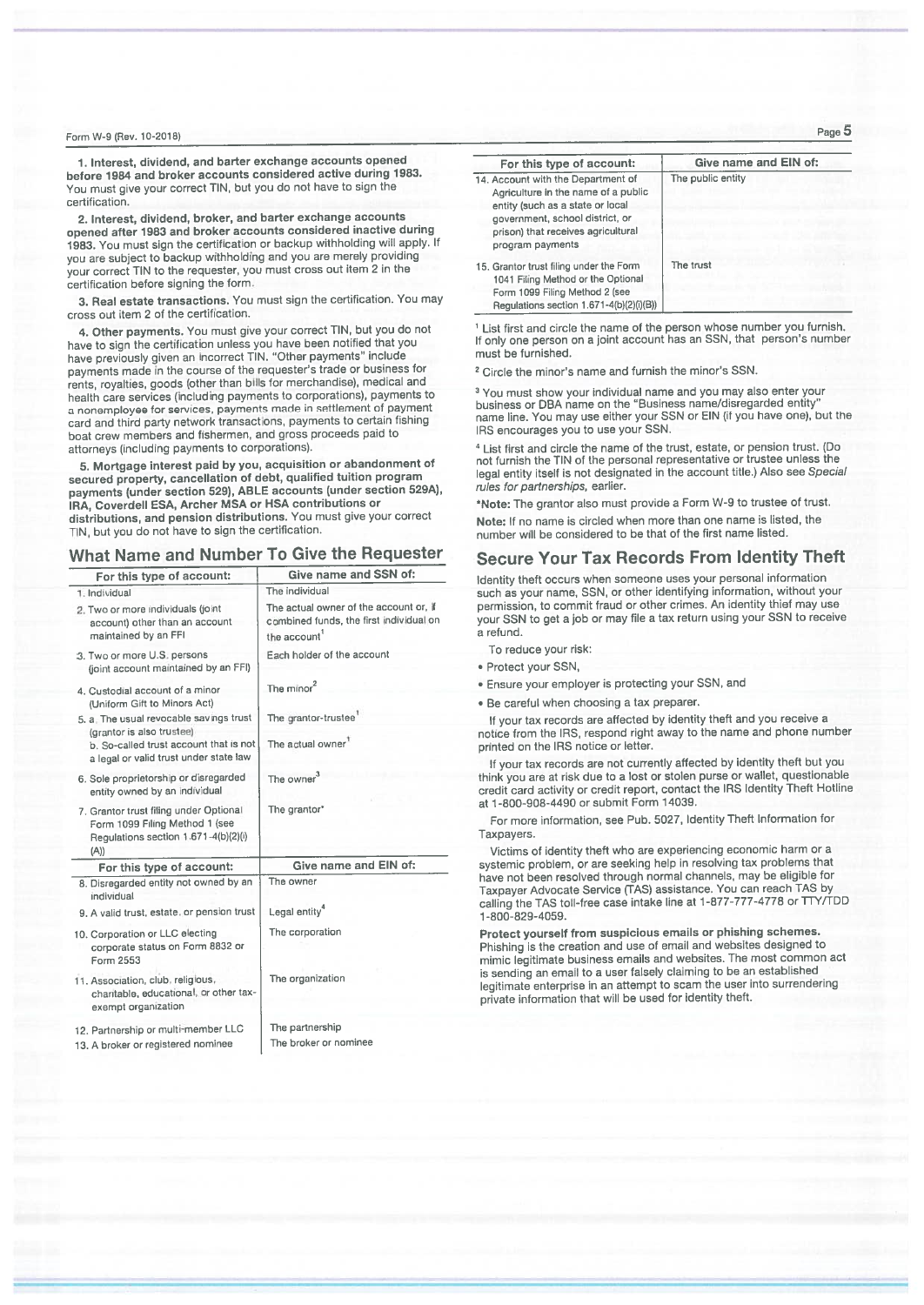1. Interest, dividend, and barter exchange accounts opened before 1984 and broker accounts considered active during 1983. You must give your correct TIN, but you do not have to sign the certification.

2. Interest, dividend, broker, and barter exchange accounts opened after 1983 and broker accounts considered inactive during 1983. You must sign the certification or backup withholding will apply. If you are subject to backup withholding and you are merely providing your correct TIN to the requester, you must cross out item 2 in the certification before signing the form.

3. Real estate transactions. You must sign the certification. You may cross out item 2 of the certification.

4. Other payments. You must give your correct TIN, but you do not have to sign the certification unless you have been notified that you have previously given an incorrect TIN. "Other payments" include payments made in the course of the requester's trade or business for rents, royalties, goods (other than bills for merchandise), medical and health care services (including payments to corporations), payments to a nonemployee for services, payments made in settlement of payment card and third party network transactions, payments to certain fishing boat crew members and fishermen, and gross proceeds paid to attorneys (including payments to corporations).

5. Mortgage interest paid by you, acquisition or abandonment of secured property, cancellation of debt, qualified tuition program payments (under section 529), ABLE accounts (under section 529A), **IRA. Coverdell ESA, Archer MSA or HSA contributions or** distributions, and pension distributions. You must give your correct TIN, but you do not have to sign the certification.

# What Name and Number To Give the Requester

| For this type of account:                                                                                                | Give name and SSN of:                                                                            |
|--------------------------------------------------------------------------------------------------------------------------|--------------------------------------------------------------------------------------------------|
| 1. Individual                                                                                                            | The individual                                                                                   |
| 2. Two or more individuals (joint<br>account) other than an account<br>maintained by an FFI                              | The actual owner of the account or, if<br>combined funds, the first individual on<br>the account |
| 3. Two or more U.S. persons<br>(joint account maintained by an FFI)                                                      | Each holder of the account                                                                       |
| 4. Custodial account of a minor<br>(Uniform Gift to Minors Act)                                                          | The minor <sup>2</sup>                                                                           |
| 5. a. The usual revocable savings trust                                                                                  | The grantor-trustee                                                                              |
| (grantor is also trustee)<br>b. So-called trust account that is not<br>a legal or valid trust under state law            | The actual owner <sup>1</sup>                                                                    |
| 6. Sole proprietorship or disregarded<br>entity owned by an individual                                                   | The owner <sup>3</sup>                                                                           |
| 7. Grantor trust filing under Optional<br>Form 1099 Filing Method 1 (see<br>Regulations section 1.671-4(b)(2)(i)<br>(A)) | The grantor*                                                                                     |
| For this type of account:                                                                                                | Give name and EIN of:                                                                            |
| 8. Disregarded entity not owned by an<br>individual                                                                      | The owner                                                                                        |
| 9. A valid trust, estate, or pension trust                                                                               | Legal entity <sup>4</sup>                                                                        |
| 10. Corporation or LLC electing<br>corporate status on Form 8832 or<br>Form 2553                                         | The corporation                                                                                  |
| 11. Association, club, religious,<br>charitable, educational, or other tax-<br>exempt organization                       | The organization                                                                                 |
| 12. Partnership or multi-member LLC                                                                                      | The partnership<br>The broker or nominee                                                         |
| 13 A broker or registered nominee                                                                                        |                                                                                                  |

| For this type of account:                                                                                                                                                                                  | Give name and EIN of: |
|------------------------------------------------------------------------------------------------------------------------------------------------------------------------------------------------------------|-----------------------|
| 14. Account with the Department of<br>Agriculture in the name of a public<br>entity (such as a state or local<br>government, school district, or<br>prison) that receives agricultural<br>program payments | The public entity     |
| 15. Grantor trust filing under the Form<br>1041 Filing Method or the Optional<br>Form 1099 Filing Method 2 (see<br>Regulations section 1 671-4(b)(2)(i)(B))                                                | The trust             |

<sup>1</sup> List first and circle the name of the person whose number you furnish. If only one person on a joint account has an SSN, that person's number must be furnished.

<sup>2</sup> Circle the minor's name and furnish the minor's SSN.

<sup>3</sup> You must show your individual name and you may also enter your business or DBA name on the "Business name/disregarded entity name line. You may use either your SSN or EIN (if you have one), but the IRS encourages you to use your SSN.

<sup>4</sup> List first and circle the name of the trust, estate, or pension trust. (Do not furnish the TIN of the personal representative or trustee unless the legal entity itself is not designated in the account title.) Also see Special rules for partnerships, earlier.

\*Note: The grantor also must provide a Form W-9 to trustee of trust.

Note: If no name is circled when more than one name is listed, the number will be considered to be that of the first name listed.

# Secure Your Tax Records From Identity Theft

Identity theft occurs when someone uses your personal information such as your name, SSN, or other identifying information, without your permission, to commit fraud or other crimes. An identity thief may use your SSN to get a job or may file a tax return using your SSN to receive a refund.

To reduce your risk:

- · Protect your SSN.
- . Ensure your employer is protecting your SSN, and
- . Be careful when choosing a tax preparer

If your tax records are affected by identity theft and you receive a notice from the IRS, respond right away to the name and phone number printed on the IRS notice or letter.

If your tax records are not currently affected by identity theft but you think you are at risk due to a lost or stolen purse or wallet, questionable credit card activity or credit report, contact the IRS Identity Theft Hotline at 1-800-908-4490 or submit Form 14039.

For more information, see Pub. 5027, Identity Theft Information for Taxpayers

Victims of identity theft who are experiencing economic harm or a systemic problem, or are seeking help in resolving tax problems that have not been resolved through normal channels, may be eligible for Taxpayer Advocate Service (TAS) assistance. You can reach TAS by calling the TAS toll-free case intake line at 1-877-777-4778 or TTY/TDD 1-800-829-4059.

Protect yourself from suspicious emails or phishing schemes. Phishing is the creation and use of email and websites designed to mimic legitimate business emails and websites. The most common act is sending an email to a user falsely claiming to be an established legitimate enterprise in an attempt to scam the user into surrendering private information that will be used for identity theft.

Page 5